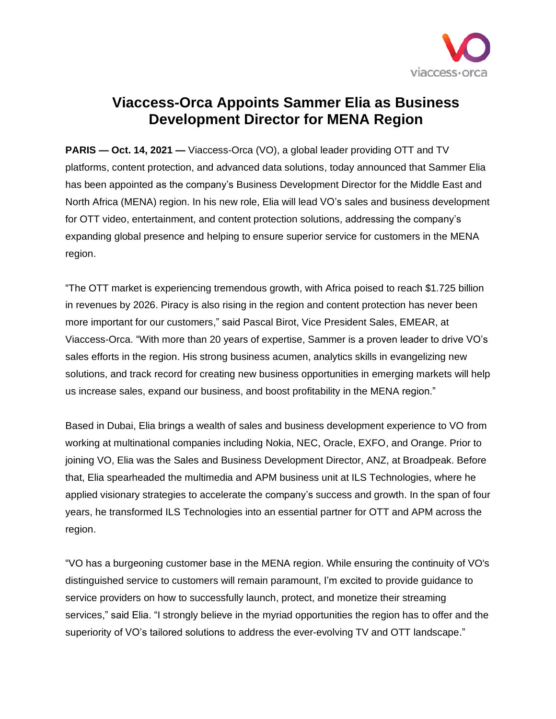

## **Viaccess-Orca Appoints Sammer Elia as Business Development Director for MENA Region**

**PARIS — Oct. 14, 2021 —** Viaccess-Orca (VO), a global leader providing OTT and TV platforms, content protection, and advanced data solutions, today announced that Sammer Elia has been appointed as the company's Business Development Director for the Middle East and North Africa (MENA) region. In his new role, Elia will lead VO's sales and business development for OTT video, entertainment, and content protection solutions, addressing the company's expanding global presence and helping to ensure superior service for customers in the MENA region.

"The OTT market is experiencing tremendous growth, with Africa poised to reach \$1.725 billion in revenues by 2026. Piracy is also rising in the region and content protection has never been more important for our customers," said Pascal Birot, Vice President Sales, EMEAR, at Viaccess-Orca. "With more than 20 years of expertise, Sammer is a proven leader to drive VO's sales efforts in the region. His strong business acumen, analytics skills in evangelizing new solutions, and track record for creating new business opportunities in emerging markets will help us increase sales, expand our business, and boost profitability in the MENA region."

Based in Dubai, Elia brings a wealth of sales and business development experience to VO from working at multinational companies including Nokia, NEC, Oracle, EXFO, and Orange. Prior to joining VO, Elia was the Sales and Business Development Director, ANZ, at Broadpeak. Before that, Elia spearheaded the multimedia and APM business unit at ILS Technologies, where he applied visionary strategies to accelerate the company's success and growth. In the span of four years, he transformed ILS Technologies into an essential partner for OTT and APM across the region.

"VO has a burgeoning customer base in the MENA region. While ensuring the continuity of VO's distinguished service to customers will remain paramount, I'm excited to provide guidance to service providers on how to successfully launch, protect, and monetize their streaming services," said Elia. "I strongly believe in the myriad opportunities the region has to offer and the superiority of VO's tailored solutions to address the ever-evolving TV and OTT landscape."